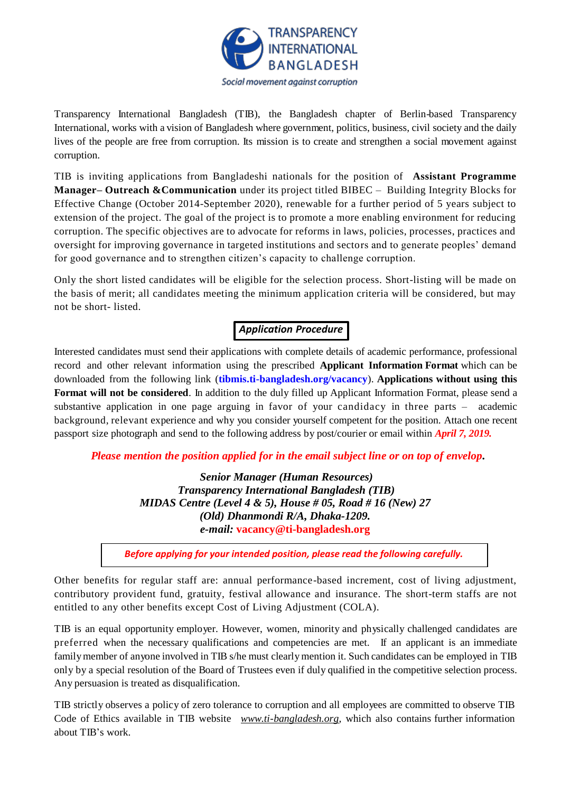

Transparency International Bangladesh (TIB), the Bangladesh chapter of Berlin-based Transparency International, works with a vision of Bangladesh where government, politics, business, civil society and the daily lives of the people are free from corruption. Its mission is to create and strengthen a social movement against corruption.

TIB is inviting applications from Bangladeshi nationals for the position of **Assistant Programme Manager– Outreach &Communication** under its project titled BIBEC – Building Integrity Blocks for Effective Change (October 2014-September 2020), renewable for a further period of 5 years subject to extension of the project. The goal of the project is to promote a more enabling environment for reducing corruption. The specific objectives are to advocate for reforms in laws, policies, processes, practices and oversight for improving governance in targeted institutions and sectors and to generate peoples' demand for good governance and to strengthen citizen's capacity to challenge corruption.

Only the short listed candidates will be eligible for the selection process. Short-listing will be made on the basis of merit; all candidates meeting the minimum application criteria will be considered, but may not be short- listed.

# *Application Procedure*

Interested candidates must send their applications with complete details of academic performance, professional record and other relevant information using the prescribed **Applicant Information Format** which can be downloaded from the following link (**[tibmis.ti-bangladesh.org/vacancy](http://www.ti-bangladesh.org/vacancy)**). **Applications without using this Format will not be considered**. In addition to the duly filled up Applicant Information Format, please send a substantive application in one page arguing in favor of your candidacy in three parts – academic background, relevant experience and why you consider yourself competent for the position. Attach one recent passport size photograph and send to the following address by post/courier or email within *April 7, 2019.*

*Please mention the position applied for in the email subject line or on top of envelop***.**

*Senior Manager (Human Resources) Transparency International Bangladesh (TIB) MIDAS Centre (Level 4 & 5), House # 05, Road # 16 (New) 27 (Old) Dhanmondi R/A, Dhaka-1209. e-mail:* **vacancy@ti-bangladesh.org**

*Before applying for your intended position, please read the following carefully.*

Other benefits for regular staff are: annual performance-based increment, cost of living adjustment, contributory provident fund, gratuity, festival allowance and insurance. The short-term staffs are not entitled to any other benefits except Cost of Living Adjustment (COLA).

TIB is an equal opportunity employer. However, women, minority and physically challenged candidates are preferred when the necessary qualifications and competencies are met. If an applicant is an immediate family member of anyone involved in TIB s/he must clearly mention it. Such candidates can be employed in TIB only by a special resolution of the Board of Trustees even if duly qualified in the competitive selection process. Any persuasion is treated as disqualification.

TIB strictly observes a policy of zero tolerance to corruption and all employees are committed to observe TIB Code of Ethics available in TIB website *[www.ti-bangladesh.org](http://www.ti-bangladesh.org/)*, which also contains further information about TIB's work.